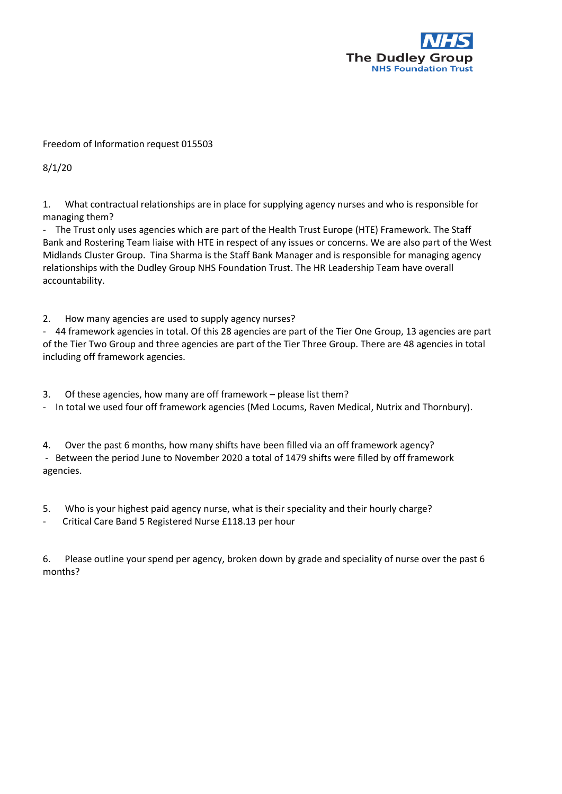

## Freedom of Information request 015503

8/1/20

1. What contractual relationships are in place for supplying agency nurses and who is responsible for managing them?

- The Trust only uses agencies which are part of the Health Trust Europe (HTE) Framework. The Staff Bank and Rostering Team liaise with HTE in respect of any issues or concerns. We are also part of the West Midlands Cluster Group. Tina Sharma is the Staff Bank Manager and is responsible for managing agency relationships with the Dudley Group NHS Foundation Trust. The HR Leadership Team have overall accountability.

2. How many agencies are used to supply agency nurses?

- 44 framework agencies in total. Of this 28 agencies are part of the Tier One Group, 13 agencies are part of the Tier Two Group and three agencies are part of the Tier Three Group. There are 48 agencies in total including off framework agencies.

3. Of these agencies, how many are off framework – please list them?

- In total we used four off framework agencies (Med Locums, Raven Medical, Nutrix and Thornbury).

4. Over the past 6 months, how many shifts have been filled via an off framework agency? - Between the period June to November 2020 a total of 1479 shifts were filled by off framework agencies.

5. Who is your highest paid agency nurse, what is their speciality and their hourly charge?

- Critical Care Band 5 Registered Nurse £118.13 per hour

6. Please outline your spend per agency, broken down by grade and speciality of nurse over the past 6 months?